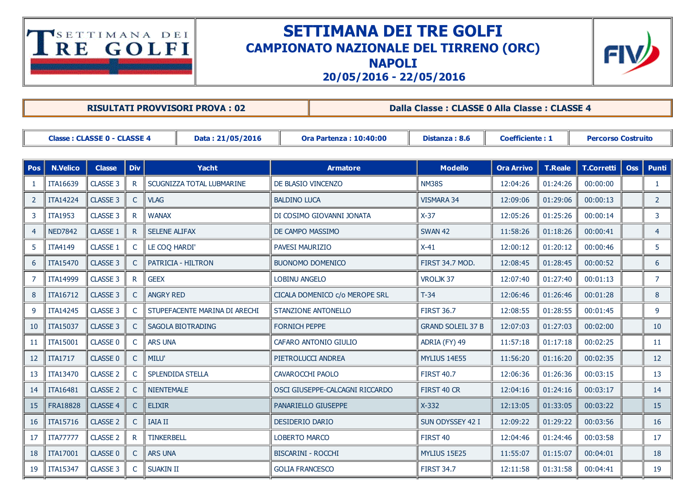## TSETTIMANA DEI

## SETTIMANA DEI TRE GOLFI CAMPIONATO NAZIONALE DEL TIRRENO (ORC) NAPOLI



20/05/2016 22/05/2016

|                                                        | <b>RISULTATI PROVVISORI PROVA: 02</b> |                     |              |                               |                               |                                 |                          | Dalla Classe: CLASSE 0 Alla Classe: CLASSE 4 |          |                           |            |                |  |  |
|--------------------------------------------------------|---------------------------------------|---------------------|--------------|-------------------------------|-------------------------------|---------------------------------|--------------------------|----------------------------------------------|----------|---------------------------|------------|----------------|--|--|
| <b>Classe: CLASSE 0 - CLASSE 4</b><br>Data: 21/05/2016 |                                       |                     |              |                               | <b>Ora Partenza: 10:40:00</b> |                                 | Distanza: 8.6            | <b>Coefficiente: 1</b>                       |          | <b>Percorso Costruito</b> |            |                |  |  |
| <b>Pos</b>                                             | <b>N.Velico</b>                       | <b>Classe</b>       | <b>Div</b>   | <b>Yacht</b>                  |                               | <b>Armatore</b>                 | <b>Modello</b>           | <b>Ora Arrivo</b>                            | T.Reale  | <b>T.Corretti</b>         | <b>Oss</b> | <b>Punti</b>   |  |  |
| 1                                                      | ITA16639                              | CLASSE 3            | R            | SCUGNIZZA TOTAL LUBMARINE     | DE BLASIO VINCENZO            |                                 | <b>NM38S</b>             | 12:04:26                                     | 01:24:26 | 00:00:00                  |            | $\mathbf{1}$   |  |  |
| 2                                                      | <b>ITA14224</b>                       | CLASSE 3            | C            | <b>VLAG</b>                   | <b>BALDINO LUCA</b>           |                                 | <b>VISMARA 34</b>        | 12:09:06                                     | 01:29:06 | 00:00:13                  |            | $2^{\circ}$    |  |  |
| 3                                                      | <b>ITA1953</b>                        | CLASSE 3            | $\mathsf{R}$ | <b>WANAX</b>                  | DI COSIMO GIOVANNI JONATA     |                                 | $X-37$                   | 12:05:26                                     | 01:25:26 | 00:00:14                  |            | 3              |  |  |
| 4                                                      | <b>NED7842</b>                        | CLASSE 1            | $\mathsf{R}$ | <b>SELENE ALIFAX</b>          | DE CAMPO MASSIMO              |                                 | <b>SWAN 42</b>           | 11:58:26                                     | 01:18:26 | 00:00:41                  |            | $\overline{4}$ |  |  |
| 5                                                      | <b>ITA4149</b>                        | CLASSE 1            | C            | LE COQ HARDI'                 | <b>PAVESI MAURIZIO</b>        |                                 | $X-41$                   | 12:00:12                                     | 01:20:12 | 00:00:46                  |            | 5              |  |  |
| 6                                                      | ITA15470                              | CLASSE 3            | $\mathsf{C}$ | PATRICIA - HILTRON            | <b>BUONOMO DOMENICO</b>       |                                 | <b>FIRST 34.7 MOD.</b>   | 12:08:45                                     | 01:28:45 | 00:00:52                  |            | 6              |  |  |
| 7                                                      | ITA14999                              | CLASSE 3            | $\mathsf{R}$ | <b>GEEX</b>                   | <b>LOBINU ANGELO</b>          |                                 | VROLJK37                 | 12:07:40                                     | 01:27:40 | 00:01:13                  |            | $\overline{7}$ |  |  |
| 8                                                      | ITA16712                              | CLASSE 3            | C            | <b>ANGRY RED</b>              |                               | CICALA DOMENICO c/o MEROPE SRL  | $T-34$                   | 12:06:46                                     | 01:26:46 | 00:01:28                  |            | 8              |  |  |
| 9                                                      | <b>ITA14245</b>                       | CLASSE 3            | C            | STUPEFACENTE MARINA DI ARECHI | <b>STANZIONE ANTONELLO</b>    |                                 | <b>FIRST 36.7</b>        | 12:08:55                                     | 01:28:55 | 00:01:45                  |            | 9              |  |  |
| 10                                                     | ITA15037                              | CLASSE 3            | C            | SAGOLA BIOTRADING             | <b>FORNICH PEPPE</b>          |                                 | <b>GRAND SOLEIL 37 B</b> | 12:07:03                                     | 01:27:03 | 00:02:00                  |            | 10             |  |  |
| 11                                                     | <b>ITA15001</b>                       | CLASSE 0            | C            | <b>ARS UNA</b>                |                               | CAFARO ANTONIO GIULIO           | ADRIA (FY) 49            | 11:57:18                                     | 01:17:18 | 00:02:25                  |            | 11             |  |  |
| 12                                                     | <b>ITA1717</b>                        | CLASSE 0            | C            | MILU'                         | PIETROLUCCI ANDREA            |                                 | MYLIUS 14E55             | 11:56:20                                     | 01:16:20 | 00:02:35                  |            | 12             |  |  |
| 13                                                     | ITA13470                              | <b>CLASSE 2</b>     | $\mathsf{C}$ | SPLENDIDA STELLA              | CAVAROCCHI PAOLO              |                                 | <b>FIRST 40.7</b>        | 12:06:36                                     | 01:26:36 | 00:03:15                  |            | 13             |  |  |
| 14                                                     | ITA16481                              | <b>CLASSE 2</b>     | $\mathsf{C}$ | <b>NIENTEMALE</b>             |                               | OSCI GIUSEPPE-CALCAGNI RICCARDO | FIRST 40 CR              | 12:04:16                                     | 01:24:16 | 00:03:17                  |            | 14             |  |  |
| 15                                                     | FRA18828                              | CLASSE 4            | $\mathsf{C}$ | <b>ELIXIR</b>                 |                               | PANARIELLO GIUSEPPE             | $X-332$                  | 12:13:05                                     | 01:33:05 | 00:03:22                  |            | 15             |  |  |
| 16                                                     | ITA15716                              | CLASSE <sub>2</sub> | C            | <b>IAIA II</b>                | DESIDERIO DARIO               |                                 | SUN ODYSSEY 42 I         | 12:09:22                                     | 01:29:22 | 00:03:56                  |            | 16             |  |  |
| 17                                                     | <b>ITA77777</b>                       | CLASSE <sub>2</sub> | R            | <b>TINKERBELL</b>             | LOBERTO MARCO                 |                                 | FIRST 40                 | 12:04:46                                     | 01:24:46 | 00:03:58                  |            | 17             |  |  |
| 18                                                     | ITA17001                              | CLASSE 0            | C            | <b>ARS UNA</b>                | <b>BISCARINI - ROCCHI</b>     |                                 | <b>MYLIUS 15E25</b>      | 11:55:07                                     | 01:15:07 | 00:04:01                  |            | 18             |  |  |
| 19                                                     | <b>ITA15347</b>                       | CLASSE 3            | C            | <b>SUAKIN II</b>              | <b>GOLIA FRANCESCO</b>        |                                 | <b>FIRST 34.7</b>        | 12:11:58                                     | 01:31:58 | 00:04:41                  |            | 19             |  |  |